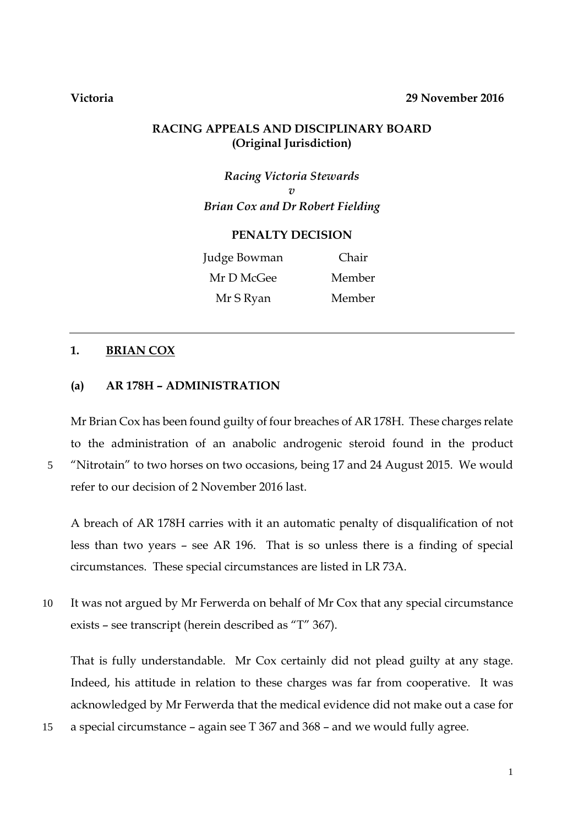### **Victoria 29 November 2016**

# **RACING APPEALS AND DISCIPLINARY BOARD (Original Jurisdiction)**

*Racing Victoria Stewards v Brian Cox and Dr Robert Fielding*

#### **PENALTY DECISION**

Judge Bowman Chair Mr D McGee Member Mr S Ryan Member

### **1. BRIAN COX**

### **(a) AR 178H – ADMINISTRATION**

Mr Brian Cox has been found guilty of four breaches of AR 178H. These charges relate to the administration of an anabolic androgenic steroid found in the product 5 "Nitrotain" to two horses on two occasions, being 17 and 24 August 2015. We would refer to our decision of 2 November 2016 last.

A breach of AR 178H carries with it an automatic penalty of disqualification of not less than two years – see AR 196. That is so unless there is a finding of special circumstances. These special circumstances are listed in LR 73A.

10 It was not argued by Mr Ferwerda on behalf of Mr Cox that any special circumstance exists – see transcript (herein described as "T" 367).

That is fully understandable. Mr Cox certainly did not plead guilty at any stage. Indeed, his attitude in relation to these charges was far from cooperative. It was acknowledged by Mr Ferwerda that the medical evidence did not make out a case for

15 a special circumstance – again see T 367 and 368 – and we would fully agree.

1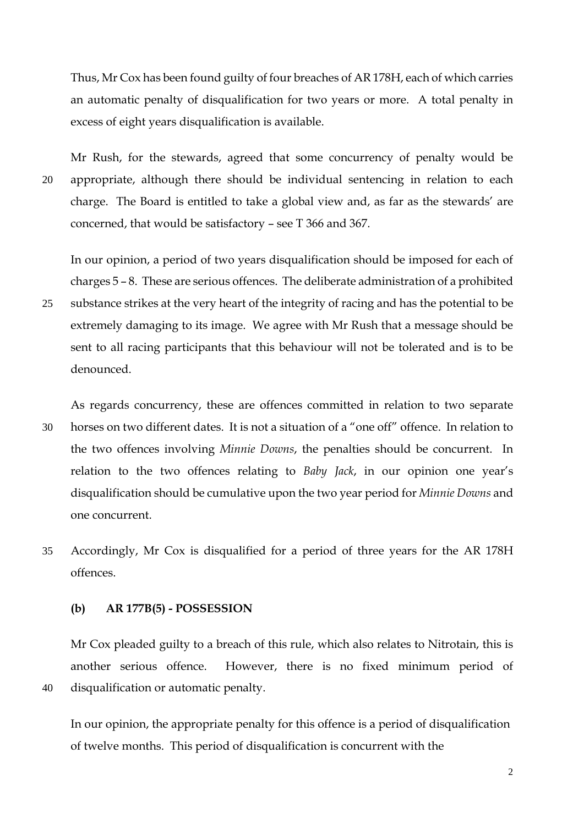Thus, Mr Cox has been found guilty of four breaches of AR 178H, each of which carries an automatic penalty of disqualification for two years or more. A total penalty in excess of eight years disqualification is available.

Mr Rush, for the stewards, agreed that some concurrency of penalty would be 20 appropriate, although there should be individual sentencing in relation to each charge. The Board is entitled to take a global view and, as far as the stewards' are concerned, that would be satisfactory – see T 366 and 367.

In our opinion, a period of two years disqualification should be imposed for each of charges 5 – 8. These are serious offences. The deliberate administration of a prohibited

25 substance strikes at the very heart of the integrity of racing and has the potential to be extremely damaging to its image. We agree with Mr Rush that a message should be sent to all racing participants that this behaviour will not be tolerated and is to be denounced.

As regards concurrency, these are offences committed in relation to two separate 30 horses on two different dates. It is not a situation of a "one off" offence. In relation to the two offences involving *Minnie Downs*, the penalties should be concurrent. In relation to the two offences relating to *Baby Jack*, in our opinion one year's disqualification should be cumulative upon the two year period for *Minnie Downs* and one concurrent.

35 Accordingly, Mr Cox is disqualified for a period of three years for the AR 178H offences.

#### **(b) AR 177B(5) - POSSESSION**

Mr Cox pleaded guilty to a breach of this rule, which also relates to Nitrotain, this is another serious offence. However, there is no fixed minimum period of 40 disqualification or automatic penalty.

In our opinion, the appropriate penalty for this offence is a period of disqualification of twelve months. This period of disqualification is concurrent with the

2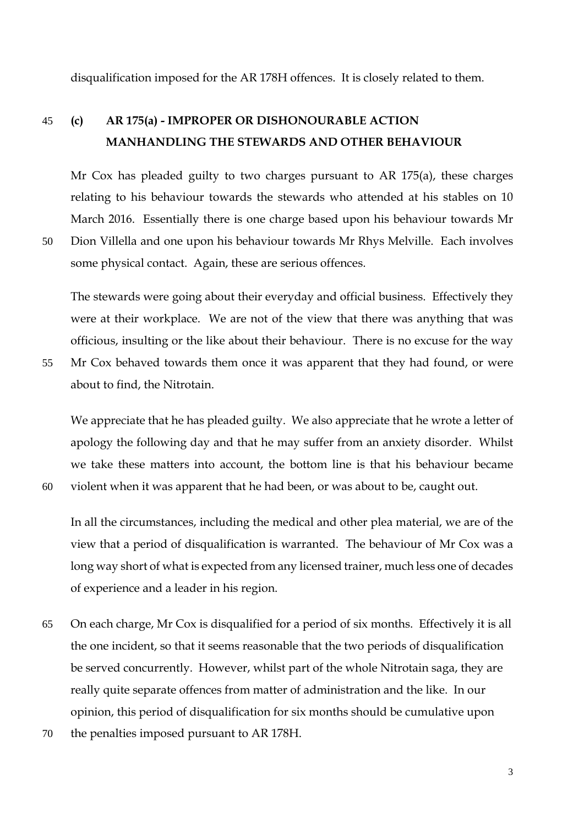disqualification imposed for the AR 178H offences. It is closely related to them.

# 45 **(c) AR 175(a) - IMPROPER OR DISHONOURABLE ACTION MANHANDLING THE STEWARDS AND OTHER BEHAVIOUR**

Mr Cox has pleaded guilty to two charges pursuant to AR 175(a), these charges relating to his behaviour towards the stewards who attended at his stables on 10 March 2016. Essentially there is one charge based upon his behaviour towards Mr

50 Dion Villella and one upon his behaviour towards Mr Rhys Melville. Each involves some physical contact. Again, these are serious offences.

The stewards were going about their everyday and official business. Effectively they were at their workplace. We are not of the view that there was anything that was officious, insulting or the like about their behaviour. There is no excuse for the way

55 Mr Cox behaved towards them once it was apparent that they had found, or were about to find, the Nitrotain.

We appreciate that he has pleaded guilty. We also appreciate that he wrote a letter of apology the following day and that he may suffer from an anxiety disorder. Whilst we take these matters into account, the bottom line is that his behaviour became 60 violent when it was apparent that he had been, or was about to be, caught out.

In all the circumstances, including the medical and other plea material, we are of the view that a period of disqualification is warranted. The behaviour of Mr Cox was a long way short of what is expected from any licensed trainer, much less one of decades of experience and a leader in his region.

- 65 On each charge, Mr Cox is disqualified for a period of six months. Effectively it is all the one incident, so that it seems reasonable that the two periods of disqualification be served concurrently. However, whilst part of the whole Nitrotain saga, they are really quite separate offences from matter of administration and the like. In our opinion, this period of disqualification for six months should be cumulative upon
- 70 the penalties imposed pursuant to AR 178H.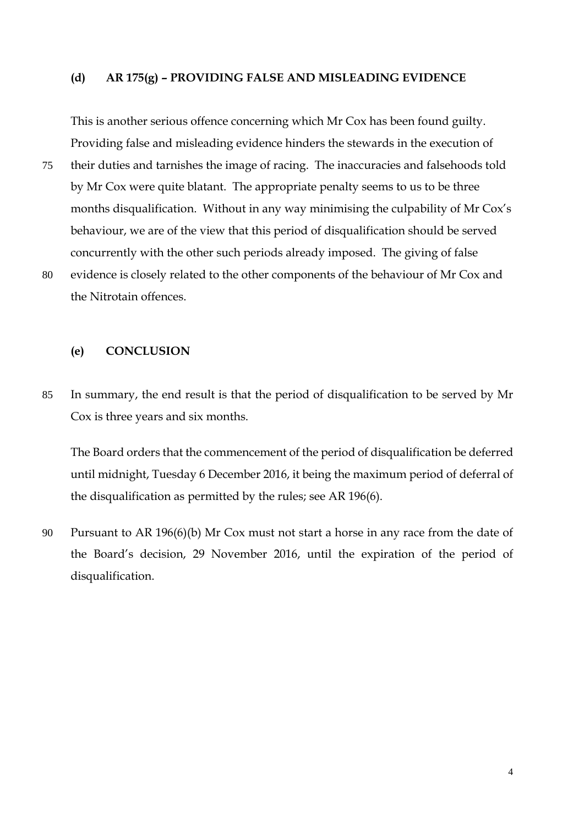#### **(d) AR 175(g) – PROVIDING FALSE AND MISLEADING EVIDENCE**

This is another serious offence concerning which Mr Cox has been found guilty. Providing false and misleading evidence hinders the stewards in the execution of 75 their duties and tarnishes the image of racing. The inaccuracies and falsehoods told by Mr Cox were quite blatant. The appropriate penalty seems to us to be three months disqualification. Without in any way minimising the culpability of Mr Cox's behaviour, we are of the view that this period of disqualification should be served concurrently with the other such periods already imposed. The giving of false 80 evidence is closely related to the other components of the behaviour of Mr Cox and the Nitrotain offences.

**(e) CONCLUSION**

85 In summary, the end result is that the period of disqualification to be served by Mr Cox is three years and six months.

The Board orders that the commencement of the period of disqualification be deferred until midnight, Tuesday 6 December 2016, it being the maximum period of deferral of the disqualification as permitted by the rules; see AR 196(6).

90 Pursuant to AR 196(6)(b) Mr Cox must not start a horse in any race from the date of the Board's decision, 29 November 2016, until the expiration of the period of disqualification.

4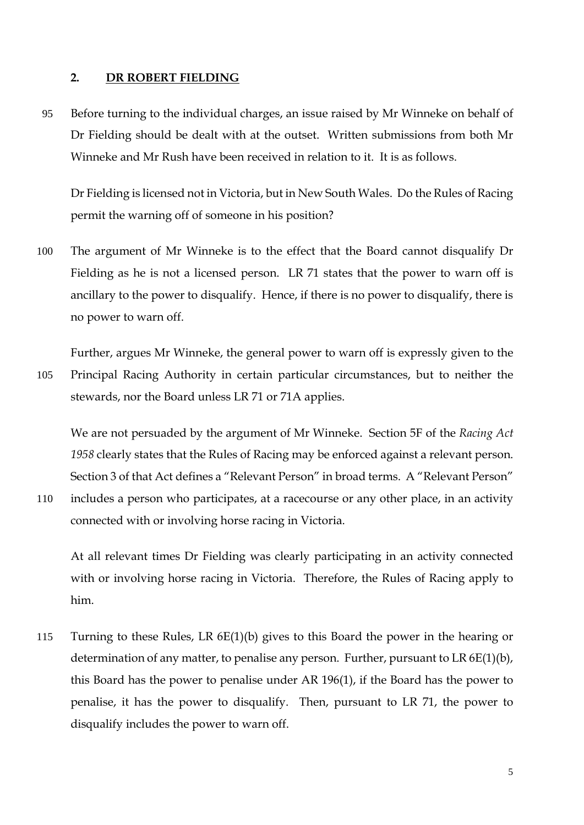### **2. DR ROBERT FIELDING**

95 Before turning to the individual charges, an issue raised by Mr Winneke on behalf of Dr Fielding should be dealt with at the outset. Written submissions from both Mr Winneke and Mr Rush have been received in relation to it. It is as follows.

Dr Fielding is licensed not in Victoria, but in New South Wales. Do the Rules of Racing permit the warning off of someone in his position?

100 The argument of Mr Winneke is to the effect that the Board cannot disqualify Dr Fielding as he is not a licensed person. LR 71 states that the power to warn off is ancillary to the power to disqualify. Hence, if there is no power to disqualify, there is no power to warn off.

Further, argues Mr Winneke, the general power to warn off is expressly given to the 105 Principal Racing Authority in certain particular circumstances, but to neither the stewards, nor the Board unless LR 71 or 71A applies.

We are not persuaded by the argument of Mr Winneke. Section 5F of the *Racing Act 1958* clearly states that the Rules of Racing may be enforced against a relevant person. Section 3 of that Act defines a "Relevant Person" in broad terms. A "Relevant Person"

110 includes a person who participates, at a racecourse or any other place, in an activity connected with or involving horse racing in Victoria.

At all relevant times Dr Fielding was clearly participating in an activity connected with or involving horse racing in Victoria. Therefore, the Rules of Racing apply to him.

115 Turning to these Rules, LR 6E(1)(b) gives to this Board the power in the hearing or determination of any matter, to penalise any person. Further, pursuant to LR 6E(1)(b), this Board has the power to penalise under AR 196(1), if the Board has the power to penalise, it has the power to disqualify. Then, pursuant to LR 71, the power to disqualify includes the power to warn off.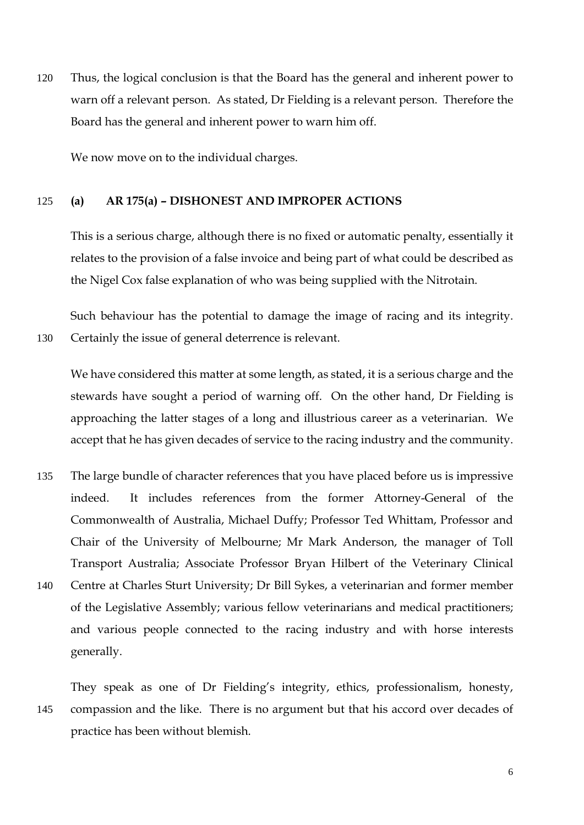120 Thus, the logical conclusion is that the Board has the general and inherent power to warn off a relevant person. As stated, Dr Fielding is a relevant person. Therefore the Board has the general and inherent power to warn him off.

We now move on to the individual charges.

#### 125 **(a) AR 175(a) – DISHONEST AND IMPROPER ACTIONS**

This is a serious charge, although there is no fixed or automatic penalty, essentially it relates to the provision of a false invoice and being part of what could be described as the Nigel Cox false explanation of who was being supplied with the Nitrotain.

Such behaviour has the potential to damage the image of racing and its integrity. 130 Certainly the issue of general deterrence is relevant.

We have considered this matter at some length, as stated, it is a serious charge and the stewards have sought a period of warning off. On the other hand, Dr Fielding is approaching the latter stages of a long and illustrious career as a veterinarian. We accept that he has given decades of service to the racing industry and the community.

- 135 The large bundle of character references that you have placed before us is impressive indeed. It includes references from the former Attorney-General of the Commonwealth of Australia, Michael Duffy; Professor Ted Whittam, Professor and Chair of the University of Melbourne; Mr Mark Anderson, the manager of Toll Transport Australia; Associate Professor Bryan Hilbert of the Veterinary Clinical 140 Centre at Charles Sturt University; Dr Bill Sykes, a veterinarian and former member
- of the Legislative Assembly; various fellow veterinarians and medical practitioners; and various people connected to the racing industry and with horse interests generally.

They speak as one of Dr Fielding's integrity, ethics, professionalism, honesty, 145 compassion and the like. There is no argument but that his accord over decades of practice has been without blemish.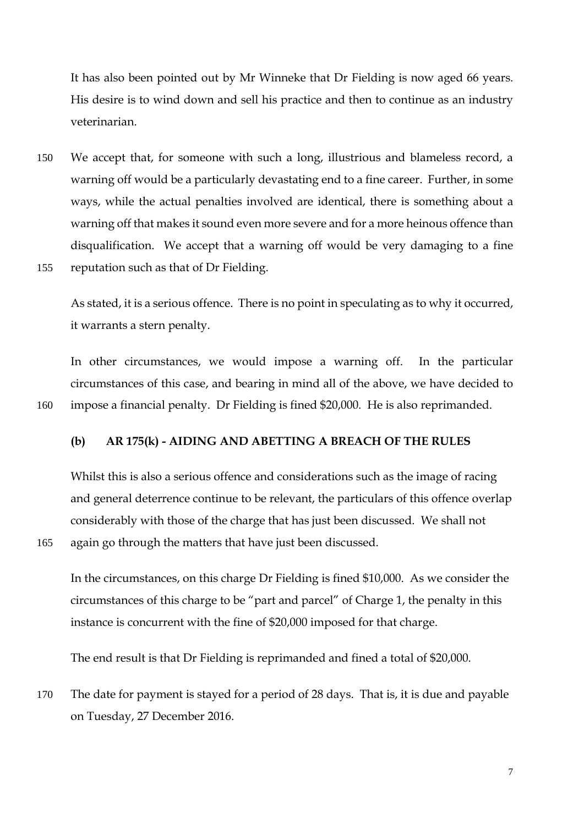It has also been pointed out by Mr Winneke that Dr Fielding is now aged 66 years. His desire is to wind down and sell his practice and then to continue as an industry veterinarian.

150 We accept that, for someone with such a long, illustrious and blameless record, a warning off would be a particularly devastating end to a fine career. Further, in some ways, while the actual penalties involved are identical, there is something about a warning off that makes it sound even more severe and for a more heinous offence than disqualification. We accept that a warning off would be very damaging to a fine 155 reputation such as that of Dr Fielding.

As stated, it is a serious offence. There is no point in speculating as to why it occurred, it warrants a stern penalty.

In other circumstances, we would impose a warning off. In the particular circumstances of this case, and bearing in mind all of the above, we have decided to 160 impose a financial penalty. Dr Fielding is fined \$20,000. He is also reprimanded.

**(b) AR 175(k) - AIDING AND ABETTING A BREACH OF THE RULES**

Whilst this is also a serious offence and considerations such as the image of racing and general deterrence continue to be relevant, the particulars of this offence overlap considerably with those of the charge that has just been discussed. We shall not 165 again go through the matters that have just been discussed.

In the circumstances, on this charge Dr Fielding is fined \$10,000. As we consider the circumstances of this charge to be "part and parcel" of Charge 1, the penalty in this instance is concurrent with the fine of \$20,000 imposed for that charge.

The end result is that Dr Fielding is reprimanded and fined a total of \$20,000.

170 The date for payment is stayed for a period of 28 days. That is, it is due and payable on Tuesday, 27 December 2016.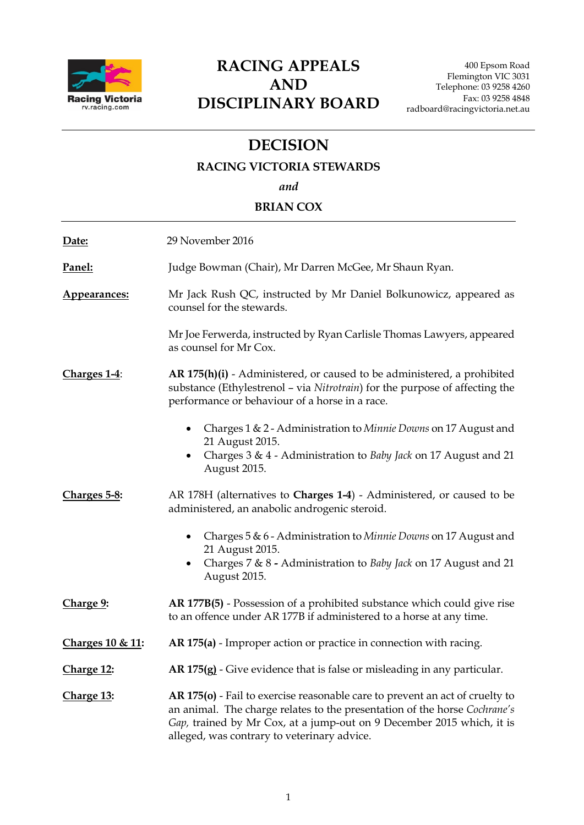

# **RACING APPEALS AND DISCIPLINARY BOARD**

# **DECISION**

### **RACING VICTORIA STEWARDS**

*and*

# **BRIAN COX**

| Date:                       | 29 November 2016                                                                                                                                                                                                                                                                  |
|-----------------------------|-----------------------------------------------------------------------------------------------------------------------------------------------------------------------------------------------------------------------------------------------------------------------------------|
| Panel:                      | Judge Bowman (Chair), Mr Darren McGee, Mr Shaun Ryan.                                                                                                                                                                                                                             |
| Appearances:                | Mr Jack Rush QC, instructed by Mr Daniel Bolkunowicz, appeared as<br>counsel for the stewards.                                                                                                                                                                                    |
|                             | Mr Joe Ferwerda, instructed by Ryan Carlisle Thomas Lawyers, appeared<br>as counsel for Mr Cox.                                                                                                                                                                                   |
| Charges 1-4:                | AR 175(h)(i) - Administered, or caused to be administered, a prohibited<br>substance (Ethylestrenol - via Nitrotrain) for the purpose of affecting the<br>performance or behaviour of a horse in a race.                                                                          |
|                             | Charges $1 \& 2$ - Administration to <i>Minnie Downs</i> on 17 August and<br>21 August 2015.<br>Charges 3 & 4 - Administration to Baby Jack on 17 August and 21<br>August 2015.                                                                                                   |
| Charges 5-8:                | AR 178H (alternatives to Charges 1-4) - Administered, or caused to be<br>administered, an anabolic androgenic steroid.                                                                                                                                                            |
|                             | Charges 5 & 6 - Administration to Minnie Downs on 17 August and<br>$\bullet$<br>21 August 2015.<br>Charges 7 & 8 - Administration to Baby Jack on 17 August and 21<br>August 2015.                                                                                                |
| Charge 9:                   | AR 177B(5) - Possession of a prohibited substance which could give rise<br>to an offence under AR 177B if administered to a horse at any time.                                                                                                                                    |
| <u>Charges 10 &amp; 11:</u> | AR 175(a) - Improper action or practice in connection with racing.                                                                                                                                                                                                                |
| Charge 12:                  | AR 175(g) - Give evidence that is false or misleading in any particular.                                                                                                                                                                                                          |
| Charge 13:                  | AR 175(o) - Fail to exercise reasonable care to prevent an act of cruelty to<br>an animal. The charge relates to the presentation of the horse Cochrane's<br>Gap, trained by Mr Cox, at a jump-out on 9 December 2015 which, it is<br>alleged, was contrary to veterinary advice. |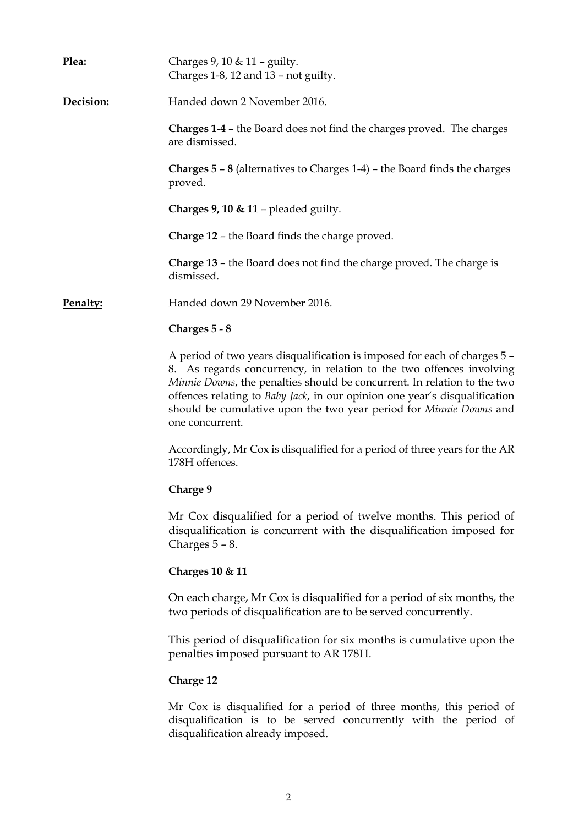| Plea:     | Charges 9, 10 & 11 - guilty.<br>Charges 1-8, 12 and 13 - not guilty.                                                                                                                                                                                                                                                                                                                                 |
|-----------|------------------------------------------------------------------------------------------------------------------------------------------------------------------------------------------------------------------------------------------------------------------------------------------------------------------------------------------------------------------------------------------------------|
| Decision: | Handed down 2 November 2016.                                                                                                                                                                                                                                                                                                                                                                         |
|           | <b>Charges 1-4 - the Board does not find the charges proved. The charges</b><br>are dismissed.                                                                                                                                                                                                                                                                                                       |
|           | <b>Charges <math>5 - 8</math></b> (alternatives to Charges 1-4) – the Board finds the charges<br>proved.                                                                                                                                                                                                                                                                                             |
|           | <b>Charges 9, 10 &amp; 11 - pleaded guilty.</b>                                                                                                                                                                                                                                                                                                                                                      |
|           | <b>Charge 12 - the Board finds the charge proved.</b>                                                                                                                                                                                                                                                                                                                                                |
|           | <b>Charge 13 - the Board does not find the charge proved. The charge is</b><br>dismissed.                                                                                                                                                                                                                                                                                                            |
| Penalty:  | Handed down 29 November 2016.                                                                                                                                                                                                                                                                                                                                                                        |
|           | Charges 5 - 8                                                                                                                                                                                                                                                                                                                                                                                        |
|           | A period of two years disqualification is imposed for each of charges 5 -<br>8. As regards concurrency, in relation to the two offences involving<br>Minnie Downs, the penalties should be concurrent. In relation to the two<br>offences relating to Baby Jack, in our opinion one year's disqualification<br>should be cumulative upon the two year period for Minnie Downs and<br>one concurrent. |
|           | Accordingly, Mr Cox is disqualified for a period of three years for the AR<br>178H offences.                                                                                                                                                                                                                                                                                                         |
|           | Charge 9                                                                                                                                                                                                                                                                                                                                                                                             |
|           | Mr Cox disqualified for a period of twelve months. This period of<br>disqualification is concurrent with the disqualification imposed for<br>Charges $5 - 8$ .                                                                                                                                                                                                                                       |
|           | <b>Charges 10 &amp; 11</b>                                                                                                                                                                                                                                                                                                                                                                           |
|           | On each charge, Mr Cox is disqualified for a period of six months, the<br>two periods of disqualification are to be served concurrently.                                                                                                                                                                                                                                                             |
|           | This period of disqualification for six months is cumulative upon the<br>penalties imposed pursuant to AR 178H.                                                                                                                                                                                                                                                                                      |
|           | <b>Charge 12</b>                                                                                                                                                                                                                                                                                                                                                                                     |
|           | Mr Cox is disqualified for a period of three months, this period of<br>disqualification is to be served concurrently with the period of<br>disqualification already imposed.                                                                                                                                                                                                                         |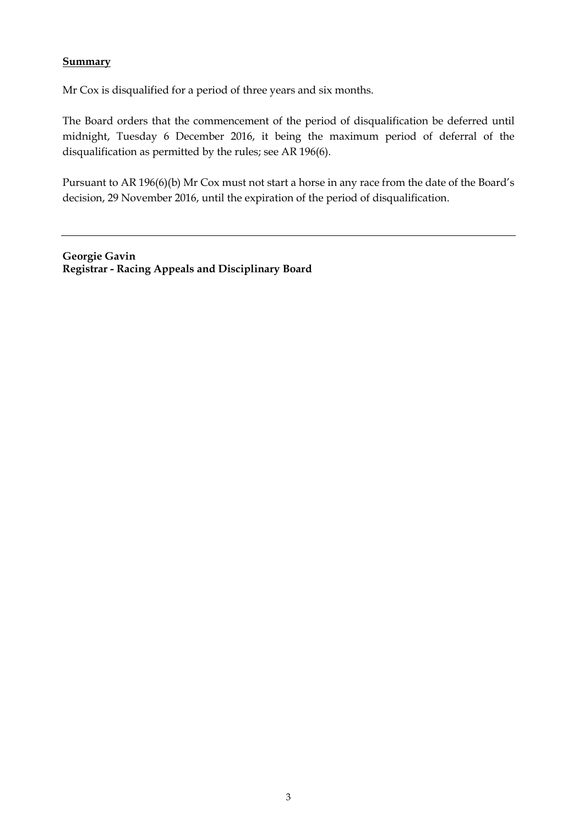## **Summary**

Mr Cox is disqualified for a period of three years and six months.

The Board orders that the commencement of the period of disqualification be deferred until midnight, Tuesday 6 December 2016, it being the maximum period of deferral of the disqualification as permitted by the rules; see AR 196(6).

Pursuant to AR 196(6)(b) Mr Cox must not start a horse in any race from the date of the Board's decision, 29 November 2016, until the expiration of the period of disqualification.

**Georgie Gavin Registrar - Racing Appeals and Disciplinary Board**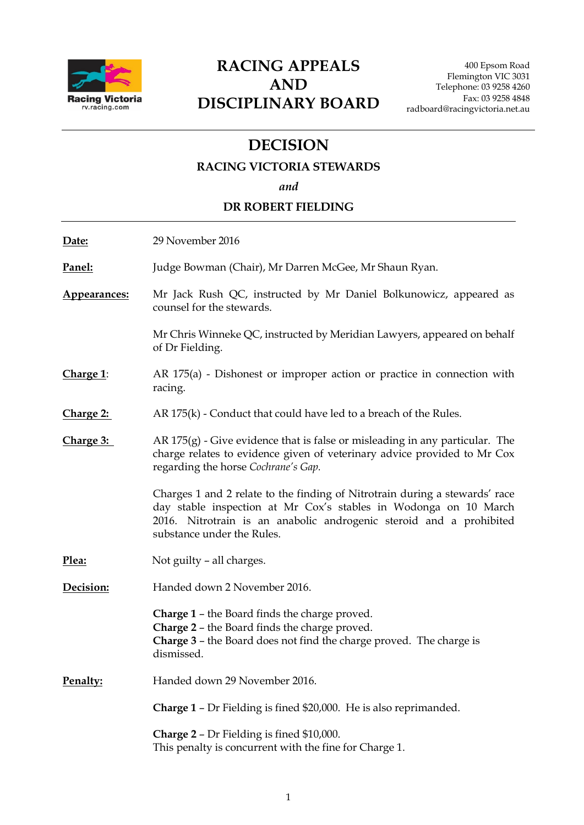

# **RACING APPEALS AND DISCIPLINARY BOARD**

# **DECISION**

# **RACING VICTORIA STEWARDS**

*and*

# **DR ROBERT FIELDING**

| Date:            | 29 November 2016                                                                                                                                                                                                                                     |
|------------------|------------------------------------------------------------------------------------------------------------------------------------------------------------------------------------------------------------------------------------------------------|
| Panel:           | Judge Bowman (Chair), Mr Darren McGee, Mr Shaun Ryan.                                                                                                                                                                                                |
| Appearances:     | Mr Jack Rush QC, instructed by Mr Daniel Bolkunowicz, appeared as<br>counsel for the stewards.                                                                                                                                                       |
|                  | Mr Chris Winneke QC, instructed by Meridian Lawyers, appeared on behalf<br>of Dr Fielding.                                                                                                                                                           |
| Charge 1:        | AR $175(a)$ - Dishonest or improper action or practice in connection with<br>racing.                                                                                                                                                                 |
| <u>Charge 2:</u> | $AR 175(k)$ - Conduct that could have led to a breach of the Rules.                                                                                                                                                                                  |
| Charge 3:        | AR $175(g)$ - Give evidence that is false or misleading in any particular. The<br>charge relates to evidence given of veterinary advice provided to Mr Cox<br>regarding the horse Cochrane's Gap.                                                    |
|                  | Charges 1 and 2 relate to the finding of Nitrotrain during a stewards' race<br>day stable inspection at Mr Cox's stables in Wodonga on 10 March<br>2016. Nitrotrain is an anabolic androgenic steroid and a prohibited<br>substance under the Rules. |
| Plea:            | Not guilty – all charges.                                                                                                                                                                                                                            |
| Decision:        | Handed down 2 November 2016.                                                                                                                                                                                                                         |
|                  | <b>Charge 1 - the Board finds the charge proved.</b><br>Charge 2 - the Board finds the charge proved.<br>Charge 3 - the Board does not find the charge proved. The charge is<br>dismissed.                                                           |
| Penalty:         | Handed down 29 November 2016.                                                                                                                                                                                                                        |
|                  | <b>Charge 1 - Dr Fielding is fined \$20,000. He is also reprimanded.</b>                                                                                                                                                                             |
|                  | <b>Charge 2 - Dr Fielding is fined \$10,000.</b><br>This penalty is concurrent with the fine for Charge 1.                                                                                                                                           |